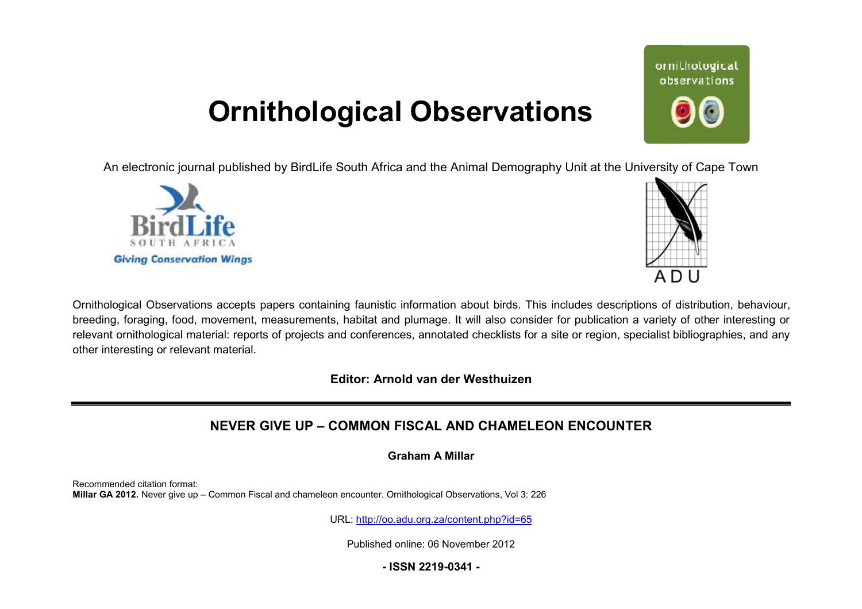## **Ornithological Observations**

An electronic journal published by BirdLife South Africa and the Animal Demography Unit at the University of Cape Town





ornithological observations

Ornithological Observations accepts papers containing faunistic information about birds. This includes descriptions of distribution, behaviour, breeding, foraging, food, movement, measurements, habitat and plumage. It will also consider for publication a variety of other interesting or relevant ornithological material: reports of projects and conferences, annotated checklists for a site or region, specialist bibliographies, and any other interesting or relevant material.

**Editor: Arnold van der Westhuizen**

## **NEVER GIVE UP – COMMON FISCAL AND CHAMELEON ENCOUNTER**

**Graham A Millar** 

Recommended citation format: **Millar GA 2012.** Never give up – Common Fiscal and chameleon encounter. Ornithological Observations, Vol 3: 226

URL: <http://oo.adu.org.za/content.php?id=65>

Published online: 06 November 2012

**- ISSN 2219-0341 -**